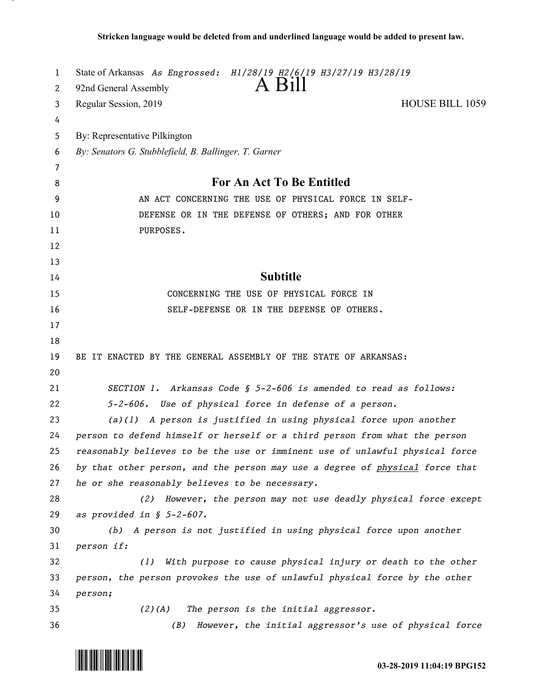| 1  | State of Arkansas As Engrossed: H1/28/19 H2/6/19 H3/27/19 H3/28/19           |
|----|------------------------------------------------------------------------------|
| 2  | $A$ Bill<br>92nd General Assembly                                            |
| 3  | <b>HOUSE BILL 1059</b><br>Regular Session, 2019                              |
| 4  |                                                                              |
| 5  | By: Representative Pilkington                                                |
| 6  | By: Senators G. Stubblefield, B. Ballinger, T. Garner                        |
| 7  |                                                                              |
| 8  | <b>For An Act To Be Entitled</b>                                             |
| 9  | AN ACT CONCERNING THE USE OF PHYSICAL FORCE IN SELF-                         |
| 10 | DEFENSE OR IN THE DEFENSE OF OTHERS; AND FOR OTHER                           |
| 11 | PURPOSES.                                                                    |
| 12 |                                                                              |
| 13 |                                                                              |
| 14 | <b>Subtitle</b>                                                              |
| 15 | CONCERNING THE USE OF PHYSICAL FORCE IN                                      |
| 16 | SELF-DEFENSE OR IN THE DEFENSE OF OTHERS.                                    |
| 17 |                                                                              |
| 18 |                                                                              |
| 19 | BE IT ENACTED BY THE GENERAL ASSEMBLY OF THE STATE OF ARKANSAS:              |
| 20 |                                                                              |
| 21 | SECTION 1. Arkansas Code § 5-2-606 is amended to read as follows:            |
| 22 | 5-2-606. Use of physical force in defense of a person.                       |
| 23 | $(a)(1)$ A person is justified in using physical force upon another          |
| 24 | person to defend himself or herself or a third person from what the person   |
| 25 | reasonably believes to be the use or imminent use of unlawful physical force |
| 26 | by that other person, and the person may use a degree of physical force that |
| 27 | he or she reasonably believes to be necessary.                               |
| 28 | (2) However, the person may not use deadly physical force except             |
| 29 | as provided in $$ 5-2-607$ .                                                 |
| 30 | (b) A person is not justified in using physical force upon another           |
| 31 | person if:                                                                   |
| 32 | With purpose to cause physical injury or death to the other<br>(1)           |
| 33 | person, the person provokes the use of unlawful physical force by the other  |
| 34 | person;                                                                      |
| 35 | The person is the initial aggressor.<br>$(2)$ (A)                            |
| 36 | However, the initial aggressor's use of physical force<br>(B)                |

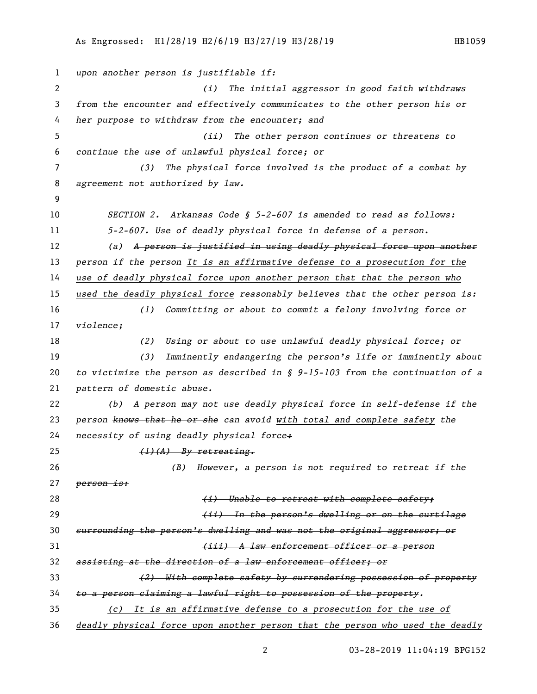```
1 upon another person is justifiable if:
2 (i) The initial aggressor in good faith withdraws 
3 from the encounter and effectively communicates to the other person his or 
4 her purpose to withdraw from the encounter; and
5 (ii) The other person continues or threatens to 
6 continue the use of unlawful physical force; or
7 (3) The physical force involved is the product of a combat by 
8 agreement not authorized by law.
9
10 SECTION 2. Arkansas Code § 5-2-607 is amended to read as follows:
11 5-2-607. Use of deadly physical force in defense of a person.
12 (a) A person is justified in using deadly physical force upon another 
13 person if the person It is an affirmative defense to a prosecution for the 
14 use of deadly physical force upon another person that that the person who 
15 used the deadly physical force reasonably believes that the other person is:
16 (1) Committing or about to commit a felony involving force or 
17 violence;
18 (2) Using or about to use unlawful deadly physical force; or
19 (3) Imminently endangering the person's life or imminently about 
20 to victimize the person as described in § 9-15-103 from the continuation of a 
21 pattern of domestic abuse.
22 (b) A person may not use deadly physical force in self-defense if the 
23 person knows that he or she can avoid with total and complete safety the 
24 necessity of using deadly physical force:
25 (1)(A) By retreating.
26 (B) However, a person is not required to retreat if the 
27 person is:
28 (i) Unable to retreat with complete safety;
29 (ii) In the person's dwelling or on the curtilage 
30 surrounding the person's dwelling and was not the original aggressor; or
31 (iii) A law enforcement officer or a person 
32 assisting at the direction of a law enforcement officer; or
33 (2) With complete safety by surrendering possession of property 
34 to a person claiming a lawful right to possession of the property.
35 (c) It is an affirmative defense to a prosecution for the use of 
36 deadly physical force upon another person that the person who used the deadly
```
03-28-2019 11:04:19 BPG152